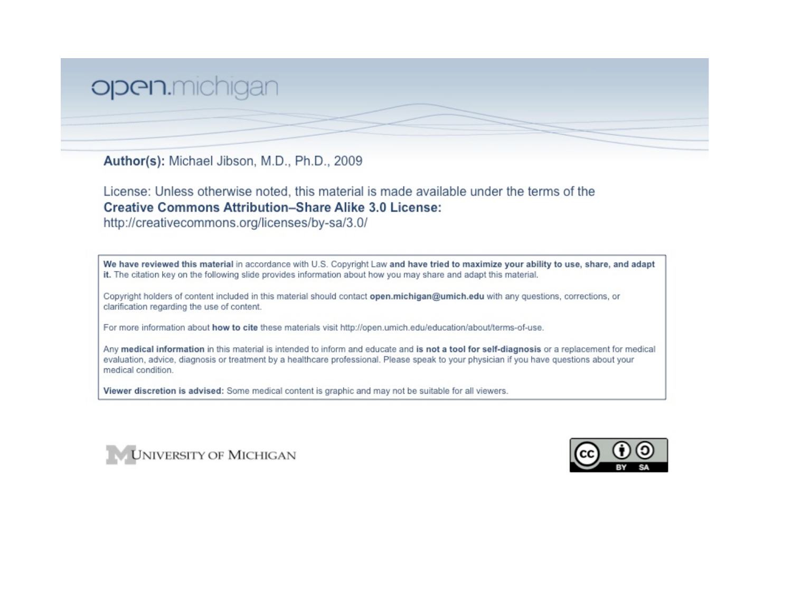## open.michigan

Author(s): Michael Jibson, M.D., Ph.D., 2009

License: Unless otherwise noted, this material is made available under the terms of the **Creative Commons Attribution-Share Alike 3.0 License:** 

http://creativecommons.org/licenses/by-sa/3.0/

We have reviewed this material in accordance with U.S. Copyright Law and have tried to maximize your ability to use, share, and adapt it. The citation key on the following slide provides information about how you may share and adapt this material.

Copyright holders of content included in this material should contact open.michigan@umich.edu with any questions, corrections, or clarification regarding the use of content.

For more information about how to cite these materials visit http://open.umich.edu/education/about/terms-of-use.

Any medical information in this material is intended to inform and educate and is not a tool for self-diagnosis or a replacement for medical evaluation, advice, diagnosis or treatment by a healthcare professional. Please speak to your physician if you have questions about your medical condition.

Viewer discretion is advised: Some medical content is graphic and may not be suitable for all viewers.